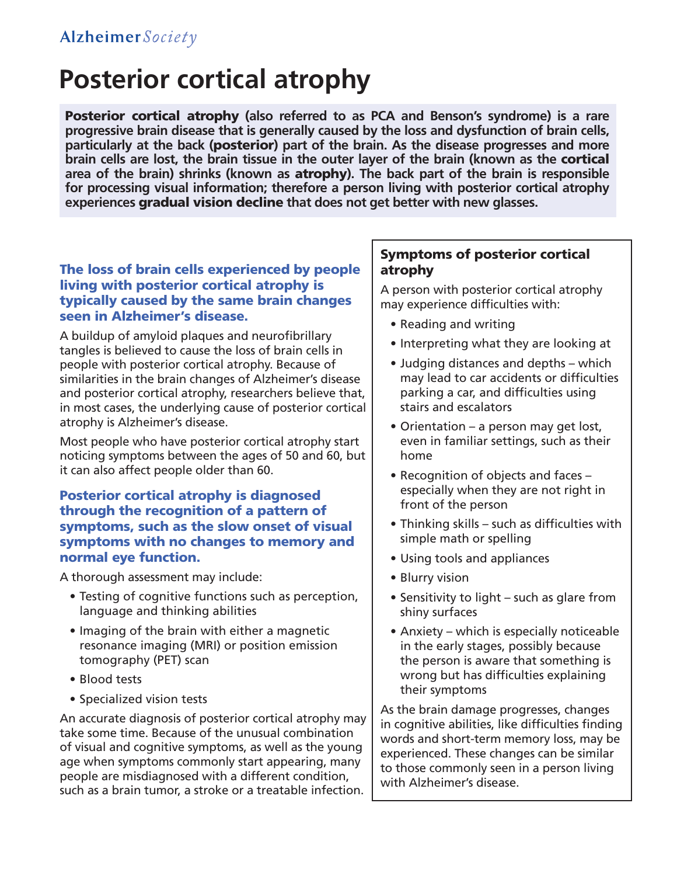# **Posterior cortical atrophy**

Posterior cortical atrophy **(also referred to as PCA and Benson's syndrome) is a rare progressive brain disease that is generally caused by the loss and dysfunction of brain cells, particularly at the back (**posterior**) part of the brain. As the disease progresses and more brain cells are lost, the brain tissue in the outer layer of the brain (known as the** cortical **area of the brain) shrinks (known as** atrophy**). The back part of the brain is responsible for processing visual information; therefore a person living with posterior cortical atrophy experiences** gradual vision decline **that does not get better with new glasses.**

## The loss of brain cells experienced by people living with posterior cortical atrophy is typically caused by the same brain changes seen in Alzheimer's disease.

A buildup of amyloid plaques and neurofibrillary tangles is believed to cause the loss of brain cells in people with posterior cortical atrophy. Because of similarities in the brain changes of Alzheimer's disease and posterior cortical atrophy, researchers believe that, in most cases, the underlying cause of posterior cortical atrophy is Alzheimer's disease.

Most people who have posterior cortical atrophy start noticing symptoms between the ages of 50 and 60, but it can also affect people older than 60.

## Posterior cortical atrophy is diagnosed through the recognition of a pattern of symptoms, such as the slow onset of visual symptoms with no changes to memory and normal eye function.

A thorough assessment may include:

- Testing of cognitive functions such as perception, language and thinking abilities
- Imaging of the brain with either a magnetic resonance imaging (MRI) or position emission tomography (PET) scan
- • Blood tests
- • Specialized vision tests

An accurate diagnosis of posterior cortical atrophy may take some time. Because of the unusual combination of visual and cognitive symptoms, as well as the young age when symptoms commonly start appearing, many people are misdiagnosed with a different condition, such as a brain tumor, a stroke or a treatable infection.

## Symptoms of posterior cortical atrophy

A person with posterior cortical atrophy may experience difficulties with:

- • Reading and writing
- Interpreting what they are looking at
- Judging distances and depths which may lead to car accidents or difficulties parking a car, and difficulties using stairs and escalators
- Orientation a person may get lost, even in familiar settings, such as their home
- Recognition of objects and faces especially when they are not right in front of the person
- • Thinking skills such as difficulties with simple math or spelling
- Using tools and appliances
- Blurry vision
- Sensitivity to light such as glare from shiny surfaces
- Anxiety which is especially noticeable in the early stages, possibly because the person is aware that something is wrong but has difficulties explaining their symptoms

As the brain damage progresses, changes in cognitive abilities, like difficulties finding words and short-term memory loss, may be experienced. These changes can be similar to those commonly seen in a person living with Alzheimer's disease.